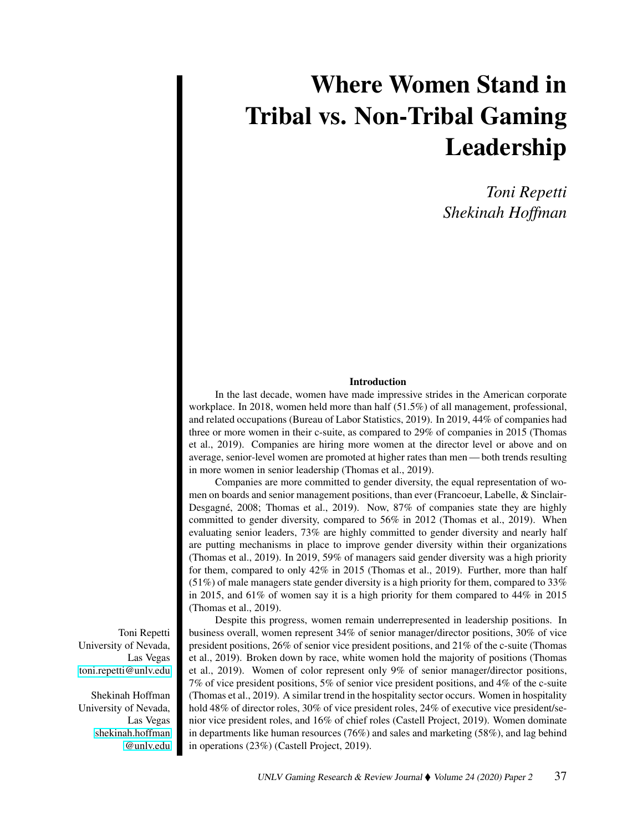# Where Women Stand in Tribal vs. Non-Tribal Gaming Leadership

*Toni Repetti Shekinah Hoffman*

# Introduction

In the last decade, women have made impressive strides in the American corporate workplace. In 2018, women held more than half (51.5%) of all management, professional, and related occupations (Bureau of Labor Statistics, 2019). In 2019, 44% of companies had three or more women in their c-suite, as compared to 29% of companies in 2015 (Thomas et al., 2019). Companies are hiring more women at the director level or above and on average, senior-level women are promoted at higher rates than men— both trends resulting in more women in senior leadership (Thomas et al., 2019).

Companies are more committed to gender diversity, the equal representation of women on boards and senior management positions, than ever (Francoeur, Labelle, & Sinclair-Desgagné, 2008; Thomas et al., 2019). Now, 87% of companies state they are highly committed to gender diversity, compared to 56% in 2012 (Thomas et al., 2019). When evaluating senior leaders, 73% are highly committed to gender diversity and nearly half are putting mechanisms in place to improve gender diversity within their organizations (Thomas et al., 2019). In 2019, 59% of managers said gender diversity was a high priority for them, compared to only 42% in 2015 (Thomas et al., 2019). Further, more than half (51%) of male managers state gender diversity is a high priority for them, compared to 33% in 2015, and 61% of women say it is a high priority for them compared to 44% in 2015 (Thomas et al., 2019).

Despite this progress, women remain underrepresented in leadership positions. In business overall, women represent 34% of senior manager/director positions, 30% of vice president positions, 26% of senior vice president positions, and 21% of the c-suite (Thomas et al., 2019). Broken down by race, white women hold the majority of positions (Thomas et al., 2019). Women of color represent only 9% of senior manager/director positions, 7% of vice president positions, 5% of senior vice president positions, and 4% of the c-suite (Thomas et al., 2019). A similar trend in the hospitality sector occurs. Women in hospitality hold 48% of director roles, 30% of vice president roles, 24% of executive vice president/senior vice president roles, and 16% of chief roles (Castell Project, 2019). Women dominate in departments like human resources (76%) and sales and marketing (58%), and lag behind in operations (23%) (Castell Project, 2019).

Toni Repetti University of Nevada, Las Vegas [toni.repetti@unlv.edu](mailto:toni.repetti@unlv.edu)

Shekinah Hoffman University of Nevada, Las Vegas [shekinah.hoffman](mailto:shekinah.hoffman@unlv.edu) [@unlv.edu](mailto:shekinah.hoffman@unlv.edu)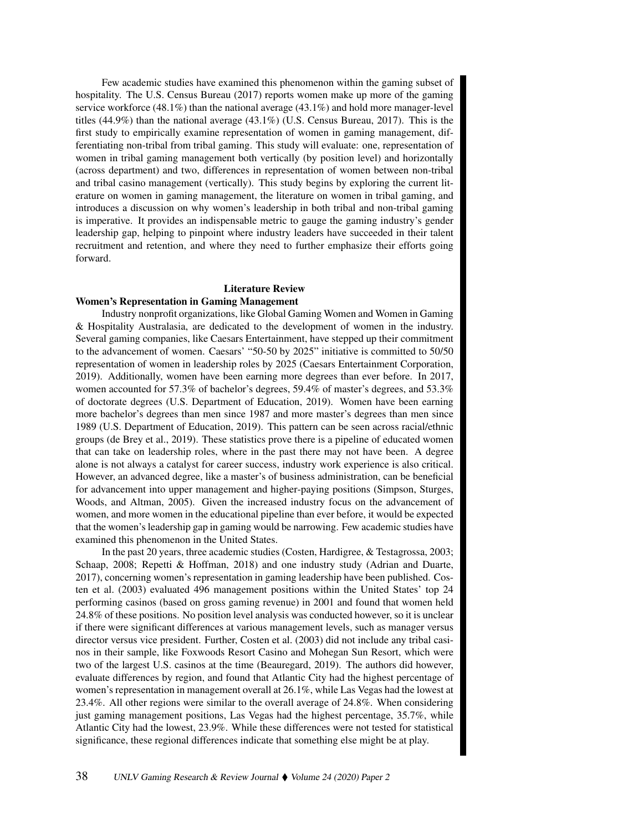Few academic studies have examined this phenomenon within the gaming subset of hospitality. The U.S. Census Bureau (2017) reports women make up more of the gaming service workforce  $(48.1\%)$  than the national average  $(43.1\%)$  and hold more manager-level titles (44.9%) than the national average (43.1%) (U.S. Census Bureau, 2017). This is the first study to empirically examine representation of women in gaming management, differentiating non-tribal from tribal gaming. This study will evaluate: one, representation of women in tribal gaming management both vertically (by position level) and horizontally (across department) and two, differences in representation of women between non-tribal and tribal casino management (vertically). This study begins by exploring the current literature on women in gaming management, the literature on women in tribal gaming, and introduces a discussion on why women's leadership in both tribal and non-tribal gaming is imperative. It provides an indispensable metric to gauge the gaming industry's gender leadership gap, helping to pinpoint where industry leaders have succeeded in their talent recruitment and retention, and where they need to further emphasize their efforts going forward.

# Literature Review

# Women's Representation in Gaming Management

Industry nonprofit organizations, like Global Gaming Women and Women in Gaming & Hospitality Australasia, are dedicated to the development of women in the industry. Several gaming companies, like Caesars Entertainment, have stepped up their commitment to the advancement of women. Caesars' "50-50 by 2025" initiative is committed to 50/50 representation of women in leadership roles by 2025 (Caesars Entertainment Corporation, 2019). Additionally, women have been earning more degrees than ever before. In 2017, women accounted for 57.3% of bachelor's degrees, 59.4% of master's degrees, and 53.3% of doctorate degrees (U.S. Department of Education, 2019). Women have been earning more bachelor's degrees than men since 1987 and more master's degrees than men since 1989 (U.S. Department of Education, 2019). This pattern can be seen across racial/ethnic groups (de Brey et al., 2019). These statistics prove there is a pipeline of educated women that can take on leadership roles, where in the past there may not have been. A degree alone is not always a catalyst for career success, industry work experience is also critical. However, an advanced degree, like a master's of business administration, can be beneficial for advancement into upper management and higher-paying positions (Simpson, Sturges, Woods, and Altman, 2005). Given the increased industry focus on the advancement of women, and more women in the educational pipeline than ever before, it would be expected that the women's leadership gap in gaming would be narrowing. Few academic studies have examined this phenomenon in the United States.

In the past 20 years, three academic studies (Costen, Hardigree, & Testagrossa, 2003; Schaap, 2008; Repetti & Hoffman, 2018) and one industry study (Adrian and Duarte, 2017), concerning women's representation in gaming leadership have been published. Costen et al. (2003) evaluated 496 management positions within the United States' top 24 performing casinos (based on gross gaming revenue) in 2001 and found that women held 24.8% of these positions. No position level analysis was conducted however, so it is unclear if there were significant differences at various management levels, such as manager versus director versus vice president. Further, Costen et al. (2003) did not include any tribal casinos in their sample, like Foxwoods Resort Casino and Mohegan Sun Resort, which were two of the largest U.S. casinos at the time (Beauregard, 2019). The authors did however, evaluate differences by region, and found that Atlantic City had the highest percentage of women's representation in management overall at 26.1%, while Las Vegas had the lowest at 23.4%. All other regions were similar to the overall average of 24.8%. When considering just gaming management positions, Las Vegas had the highest percentage, 35.7%, while Atlantic City had the lowest, 23.9%. While these differences were not tested for statistical significance, these regional differences indicate that something else might be at play.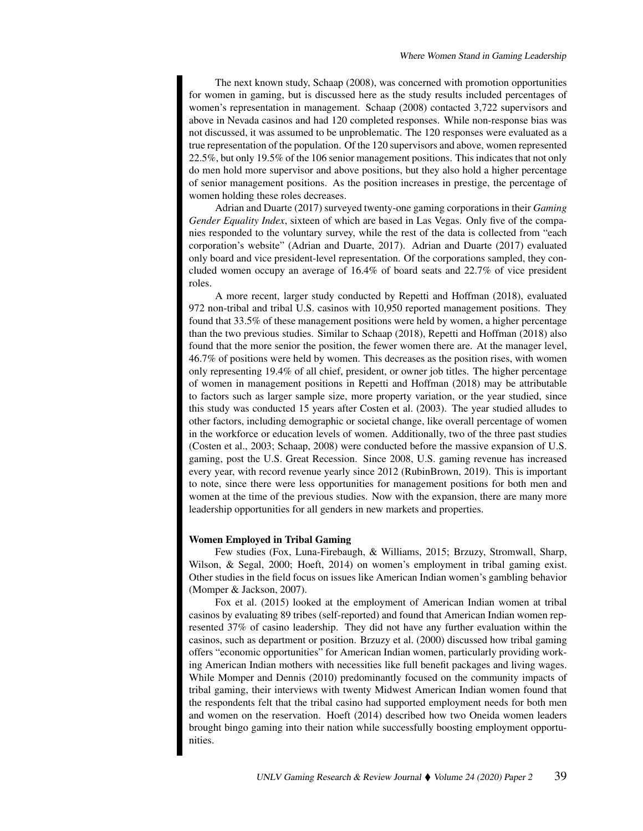The next known study, Schaap (2008), was concerned with promotion opportunities for women in gaming, but is discussed here as the study results included percentages of women's representation in management. Schaap (2008) contacted 3,722 supervisors and above in Nevada casinos and had 120 completed responses. While non-response bias was not discussed, it was assumed to be unproblematic. The 120 responses were evaluated as a true representation of the population. Of the 120 supervisors and above, women represented 22.5%, but only 19.5% of the 106 senior management positions. This indicates that not only do men hold more supervisor and above positions, but they also hold a higher percentage of senior management positions. As the position increases in prestige, the percentage of women holding these roles decreases.

Adrian and Duarte (2017) surveyed twenty-one gaming corporations in their *Gaming Gender Equality Index*, sixteen of which are based in Las Vegas. Only five of the companies responded to the voluntary survey, while the rest of the data is collected from "each corporation's website" (Adrian and Duarte, 2017). Adrian and Duarte (2017) evaluated only board and vice president-level representation. Of the corporations sampled, they concluded women occupy an average of 16.4% of board seats and 22.7% of vice president roles.

A more recent, larger study conducted by Repetti and Hoffman (2018), evaluated 972 non-tribal and tribal U.S. casinos with 10,950 reported management positions. They found that 33.5% of these management positions were held by women, a higher percentage than the two previous studies. Similar to Schaap (2018), Repetti and Hoffman (2018) also found that the more senior the position, the fewer women there are. At the manager level, 46.7% of positions were held by women. This decreases as the position rises, with women only representing 19.4% of all chief, president, or owner job titles. The higher percentage of women in management positions in Repetti and Hoffman (2018) may be attributable to factors such as larger sample size, more property variation, or the year studied, since this study was conducted 15 years after Costen et al. (2003). The year studied alludes to other factors, including demographic or societal change, like overall percentage of women in the workforce or education levels of women. Additionally, two of the three past studies (Costen et al., 2003; Schaap, 2008) were conducted before the massive expansion of U.S. gaming, post the U.S. Great Recession. Since 2008, U.S. gaming revenue has increased every year, with record revenue yearly since 2012 (RubinBrown, 2019). This is important to note, since there were less opportunities for management positions for both men and women at the time of the previous studies. Now with the expansion, there are many more leadership opportunities for all genders in new markets and properties.

#### Women Employed in Tribal Gaming

Few studies (Fox, Luna-Firebaugh, & Williams, 2015; Brzuzy, Stromwall, Sharp, Wilson, & Segal, 2000; Hoeft, 2014) on women's employment in tribal gaming exist. Other studies in the field focus on issues like American Indian women's gambling behavior (Momper & Jackson, 2007).

Fox et al. (2015) looked at the employment of American Indian women at tribal casinos by evaluating 89 tribes (self-reported) and found that American Indian women represented 37% of casino leadership. They did not have any further evaluation within the casinos, such as department or position. Brzuzy et al. (2000) discussed how tribal gaming offers "economic opportunities" for American Indian women, particularly providing working American Indian mothers with necessities like full benefit packages and living wages. While Momper and Dennis (2010) predominantly focused on the community impacts of tribal gaming, their interviews with twenty Midwest American Indian women found that the respondents felt that the tribal casino had supported employment needs for both men and women on the reservation. Hoeft (2014) described how two Oneida women leaders brought bingo gaming into their nation while successfully boosting employment opportunities.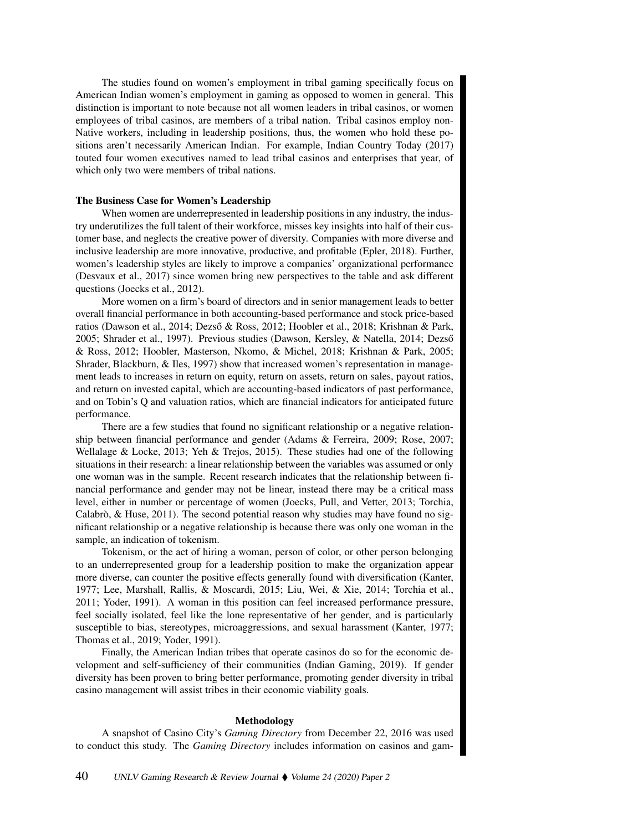The studies found on women's employment in tribal gaming specifically focus on American Indian women's employment in gaming as opposed to women in general. This distinction is important to note because not all women leaders in tribal casinos, or women employees of tribal casinos, are members of a tribal nation. Tribal casinos employ non-Native workers, including in leadership positions, thus, the women who hold these positions aren't necessarily American Indian. For example, Indian Country Today (2017) touted four women executives named to lead tribal casinos and enterprises that year, of which only two were members of tribal nations.

#### The Business Case for Women's Leadership

When women are underrepresented in leadership positions in any industry, the industry underutilizes the full talent of their workforce, misses key insights into half of their customer base, and neglects the creative power of diversity. Companies with more diverse and inclusive leadership are more innovative, productive, and profitable (Epler, 2018). Further, women's leadership styles are likely to improve a companies' organizational performance (Desvaux et al., 2017) since women bring new perspectives to the table and ask different questions (Joecks et al., 2012).

More women on a firm's board of directors and in senior management leads to better overall financial performance in both accounting-based performance and stock price-based ratios (Dawson et al., 2014; Dezső & Ross, 2012; Hoobler et al., 2018; Krishnan & Park, 2005; Shrader et al., 1997). Previous studies (Dawson, Kersley, & Natella, 2014; Dezső & Ross, 2012; Hoobler, Masterson, Nkomo, & Michel, 2018; Krishnan & Park, 2005; Shrader, Blackburn, & Iles, 1997) show that increased women's representation in management leads to increases in return on equity, return on assets, return on sales, payout ratios, and return on invested capital, which are accounting-based indicators of past performance, and on Tobin's Q and valuation ratios, which are financial indicators for anticipated future performance.

There are a few studies that found no significant relationship or a negative relationship between financial performance and gender (Adams & Ferreira, 2009; Rose, 2007; Wellalage & Locke, 2013; Yeh & Trejos, 2015). These studies had one of the following situations in their research: a linear relationship between the variables was assumed or only one woman was in the sample. Recent research indicates that the relationship between financial performance and gender may not be linear, instead there may be a critical mass level, either in number or percentage of women (Joecks, Pull, and Vetter, 2013; Torchia, Calabrò,  $\&$  Huse, 2011). The second potential reason why studies may have found no significant relationship or a negative relationship is because there was only one woman in the sample, an indication of tokenism.

Tokenism, or the act of hiring a woman, person of color, or other person belonging to an underrepresented group for a leadership position to make the organization appear more diverse, can counter the positive effects generally found with diversification (Kanter, 1977; Lee, Marshall, Rallis, & Moscardi, 2015; Liu, Wei, & Xie, 2014; Torchia et al., 2011; Yoder, 1991). A woman in this position can feel increased performance pressure, feel socially isolated, feel like the lone representative of her gender, and is particularly susceptible to bias, stereotypes, microaggressions, and sexual harassment (Kanter, 1977; Thomas et al., 2019; Yoder, 1991).

Finally, the American Indian tribes that operate casinos do so for the economic development and self-sufficiency of their communities (Indian Gaming, 2019). If gender diversity has been proven to bring better performance, promoting gender diversity in tribal casino management will assist tribes in their economic viability goals.

#### Methodology

A snapshot of Casino City's *Gaming Directory* from December 22, 2016 was used to conduct this study. The *Gaming Directory* includes information on casinos and gam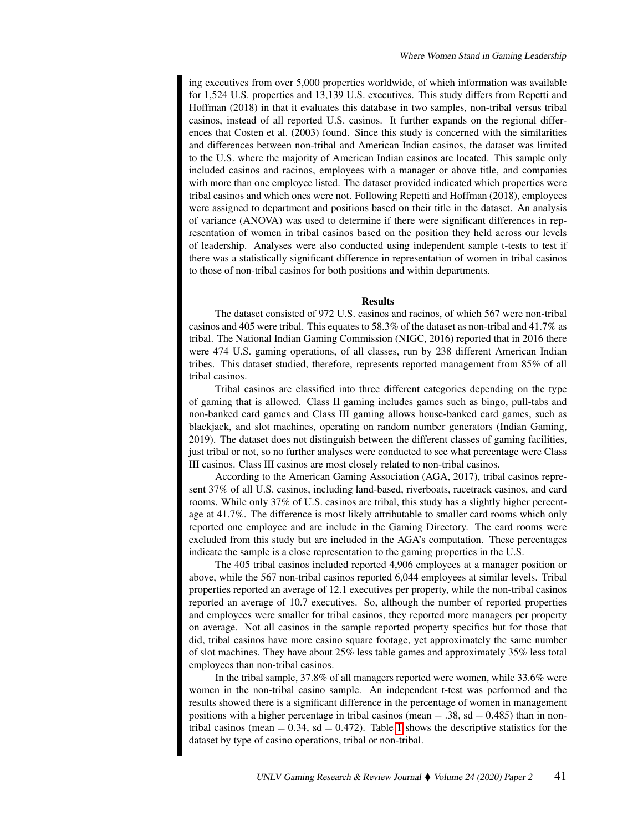ing executives from over 5,000 properties worldwide, of which information was available for 1,524 U.S. properties and 13,139 U.S. executives. This study differs from Repetti and Hoffman (2018) in that it evaluates this database in two samples, non-tribal versus tribal casinos, instead of all reported U.S. casinos. It further expands on the regional differences that Costen et al. (2003) found. Since this study is concerned with the similarities and differences between non-tribal and American Indian casinos, the dataset was limited to the U.S. where the majority of American Indian casinos are located. This sample only included casinos and racinos, employees with a manager or above title, and companies with more than one employee listed. The dataset provided indicated which properties were tribal casinos and which ones were not. Following Repetti and Hoffman (2018), employees were assigned to department and positions based on their title in the dataset. An analysis of variance (ANOVA) was used to determine if there were significant differences in representation of women in tribal casinos based on the position they held across our levels of leadership. Analyses were also conducted using independent sample t-tests to test if there was a statistically significant difference in representation of women in tribal casinos to those of non-tribal casinos for both positions and within departments.

### **Results**

The dataset consisted of 972 U.S. casinos and racinos, of which 567 were non-tribal casinos and 405 were tribal. This equates to 58.3% of the dataset as non-tribal and 41.7% as tribal. The National Indian Gaming Commission (NIGC, 2016) reported that in 2016 there were 474 U.S. gaming operations, of all classes, run by 238 different American Indian tribes. This dataset studied, therefore, represents reported management from 85% of all tribal casinos.

Tribal casinos are classified into three different categories depending on the type of gaming that is allowed. Class II gaming includes games such as bingo, pull-tabs and non-banked card games and Class III gaming allows house-banked card games, such as blackjack, and slot machines, operating on random number generators (Indian Gaming, 2019). The dataset does not distinguish between the different classes of gaming facilities, just tribal or not, so no further analyses were conducted to see what percentage were Class III casinos. Class III casinos are most closely related to non-tribal casinos.

According to the American Gaming Association (AGA, 2017), tribal casinos represent 37% of all U.S. casinos, including land-based, riverboats, racetrack casinos, and card rooms. While only 37% of U.S. casinos are tribal, this study has a slightly higher percentage at 41.7%. The difference is most likely attributable to smaller card rooms which only reported one employee and are include in the Gaming Directory. The card rooms were excluded from this study but are included in the AGA's computation. These percentages indicate the sample is a close representation to the gaming properties in the U.S.

The 405 tribal casinos included reported 4,906 employees at a manager position or above, while the 567 non-tribal casinos reported 6,044 employees at similar levels. Tribal properties reported an average of 12.1 executives per property, while the non-tribal casinos reported an average of 10.7 executives. So, although the number of reported properties and employees were smaller for tribal casinos, they reported more managers per property on average. Not all casinos in the sample reported property specifics but for those that did, tribal casinos have more casino square footage, yet approximately the same number of slot machines. They have about 25% less table games and approximately 35% less total employees than non-tribal casinos.

In the tribal sample, 37.8% of all managers reported were women, while 33.6% were women in the non-tribal casino sample. An independent t-test was performed and the results showed there is a significant difference in the percentage of women in management positions with a higher percentage in tribal casinos (mean  $= .38$ , sd  $= 0.485$ ) than in nontribal casinos (mean  $= 0.34$ , sd  $= 0.472$ ). Table [1](#page-5-0) shows the descriptive statistics for the dataset by type of casino operations, tribal or non-tribal.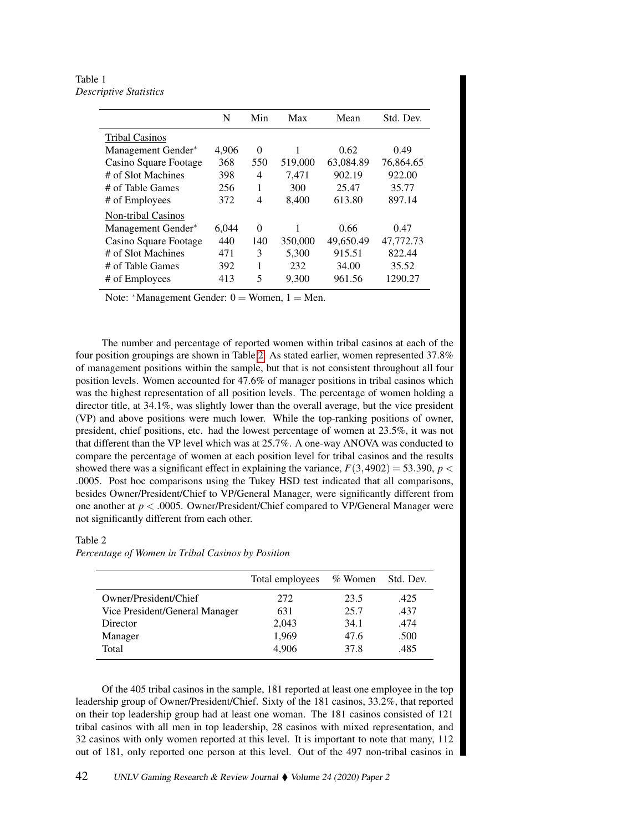<span id="page-5-0"></span>Table 1 *Descriptive Statistics*

|                           | N     | Min      | Max     | Mean      | Std. Dev. |
|---------------------------|-------|----------|---------|-----------|-----------|
| <b>Tribal Casinos</b>     |       |          |         |           |           |
| Management Gender*        | 4,906 | $\Omega$ |         | 0.62      | 0.49      |
| Casino Square Footage     | 368   | 550      | 519,000 | 63,084.89 | 76,864.65 |
| # of Slot Machines        | 398   | 4        | 7.471   | 902.19    | 922.00    |
| # of Table Games          | 256   | 1        | 300     | 25.47     | 35.77     |
| # of Employees            | 372   | 4        | 8,400   | 613.80    | 897.14    |
| <b>Non-tribal Casinos</b> |       |          |         |           |           |
| Management Gender*        | 6.044 | $\Omega$ |         | 0.66      | 0.47      |
| Casino Square Footage     | 440   | 140      | 350,000 | 49,650.49 | 47,772.73 |
| # of Slot Machines        | 471   | 3        | 5,300   | 915.51    | 822.44    |
| # of Table Games          | 392   | 1        | 232     | 34.00     | 35.52     |
| # of Employees            | 413   | 5        | 9,300   | 961.56    | 1290.27   |

Note: \*Management Gender:  $0 =$  Women,  $1 =$  Men.

The number and percentage of reported women within tribal casinos at each of the four position groupings are shown in Table [2.](#page-5-1) As stated earlier, women represented 37.8% of management positions within the sample, but that is not consistent throughout all four position levels. Women accounted for 47.6% of manager positions in tribal casinos which was the highest representation of all position levels. The percentage of women holding a director title, at 34.1%, was slightly lower than the overall average, but the vice president (VP) and above positions were much lower. While the top-ranking positions of owner, president, chief positions, etc. had the lowest percentage of women at 23.5%, it was not that different than the VP level which was at 25.7%. A one-way ANOVA was conducted to compare the percentage of women at each position level for tribal casinos and the results showed there was a significant effect in explaining the variance,  $F(3,4902) = 53.390$ ,  $p <$ .0005. Post hoc comparisons using the Tukey HSD test indicated that all comparisons, besides Owner/President/Chief to VP/General Manager, were significantly different from one another at *p* < .0005. Owner/President/Chief compared to VP/General Manager were not significantly different from each other.

# <span id="page-5-1"></span>Table 2

*Percentage of Women in Tribal Casinos by Position*

|                                | Total employees | $\%$ Women | Std. Dev. |
|--------------------------------|-----------------|------------|-----------|
| Owner/President/Chief          | 272             | 23.5       | .425      |
| Vice President/General Manager | 631             | 25.7       | .437      |
| Director                       | 2,043           | 34.1       | .474      |
| Manager                        | 1,969           | 47.6       | .500      |
| Total                          | 4.906           | 37.8       | .485      |

Of the 405 tribal casinos in the sample, 181 reported at least one employee in the top leadership group of Owner/President/Chief. Sixty of the 181 casinos, 33.2%, that reported on their top leadership group had at least one woman. The 181 casinos consisted of 121 tribal casinos with all men in top leadership, 28 casinos with mixed representation, and 32 casinos with only women reported at this level. It is important to note that many, 112 out of 181, only reported one person at this level. Out of the 497 non-tribal casinos in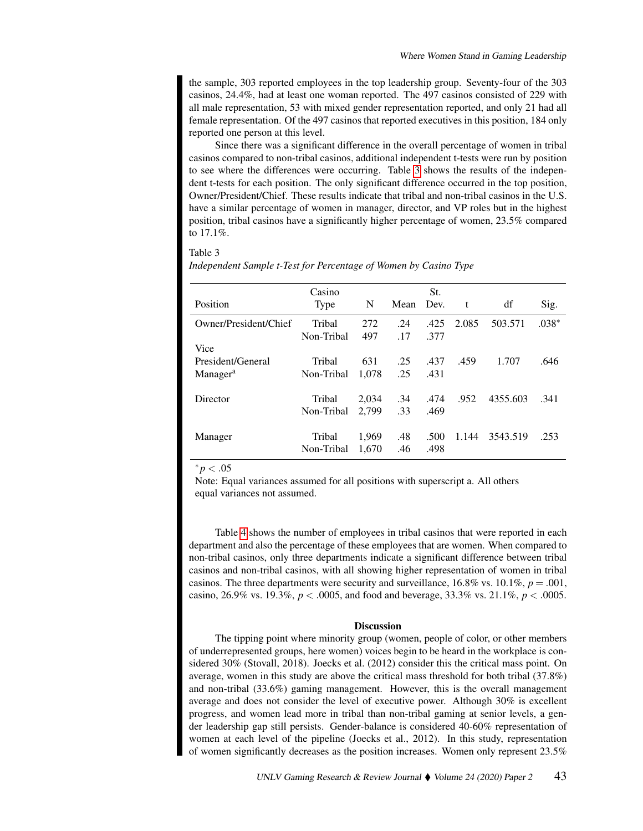the sample, 303 reported employees in the top leadership group. Seventy-four of the 303 casinos, 24.4%, had at least one woman reported. The 497 casinos consisted of 229 with all male representation, 53 with mixed gender representation reported, and only 21 had all female representation. Of the 497 casinos that reported executives in this position, 184 only reported one person at this level.

Since there was a significant difference in the overall percentage of women in tribal casinos compared to non-tribal casinos, additional independent t-tests were run by position to see where the differences were occurring. Table [3](#page-6-0) shows the results of the independent t-tests for each position. The only significant difference occurred in the top position, Owner/President/Chief. These results indicate that tribal and non-tribal casinos in the U.S. have a similar percentage of women in manager, director, and VP roles but in the highest position, tribal casinos have a significantly higher percentage of women, 23.5% compared to 17.1%.

### <span id="page-6-0"></span>Table 3

|                       | Casino     |       |      | St.  |       |          |         |
|-----------------------|------------|-------|------|------|-------|----------|---------|
| Position              | Type       | N     | Mean | Dev. | t     | df       | Sig.    |
| Owner/President/Chief | Tribal     | 272   | .24  | .425 | 2.085 | 503.571  | $.038*$ |
|                       | Non-Tribal | 497   | .17  | .377 |       |          |         |
| Vice                  |            |       |      |      |       |          |         |
| President/General     | Tribal     | 631   | .25  | .437 | .459  | 1.707    | .646    |
| Manager <sup>a</sup>  | Non-Tribal | 1,078 | .25  | .431 |       |          |         |
|                       |            |       |      |      |       |          |         |
| Director              | Tribal     | 2,034 | .34  | .474 | .952  | 4355.603 | .341    |
|                       | Non-Tribal | 2.799 | .33  | .469 |       |          |         |
|                       |            |       |      |      |       |          |         |
| Manager               | Tribal     | 1,969 | .48  | .500 | 1.144 | 3543.519 | .253    |
|                       | Non-Tribal | 1,670 | .46  | .498 |       |          |         |

*Independent Sample t-Test for Percentage of Women by Casino Type*

 $* p < .05$ 

Note: Equal variances assumed for all positions with superscript a. All others equal variances not assumed.

Table [4](#page-7-0) shows the number of employees in tribal casinos that were reported in each department and also the percentage of these employees that are women. When compared to non-tribal casinos, only three departments indicate a significant difference between tribal casinos and non-tribal casinos, with all showing higher representation of women in tribal casinos. The three departments were security and surveillance,  $16.8\%$  vs.  $10.1\%$ ,  $p = .001$ , casino, 26.9% vs. 19.3%,  $p < .0005$ , and food and beverage, 33.3% vs. 21.1%,  $p < .0005$ .

#### Discussion

The tipping point where minority group (women, people of color, or other members of underrepresented groups, here women) voices begin to be heard in the workplace is considered 30% (Stovall, 2018). Joecks et al. (2012) consider this the critical mass point. On average, women in this study are above the critical mass threshold for both tribal (37.8%) and non-tribal (33.6%) gaming management. However, this is the overall management average and does not consider the level of executive power. Although 30% is excellent progress, and women lead more in tribal than non-tribal gaming at senior levels, a gender leadership gap still persists. Gender-balance is considered 40-60% representation of women at each level of the pipeline (Joecks et al., 2012). In this study, representation of women significantly decreases as the position increases. Women only represent 23.5%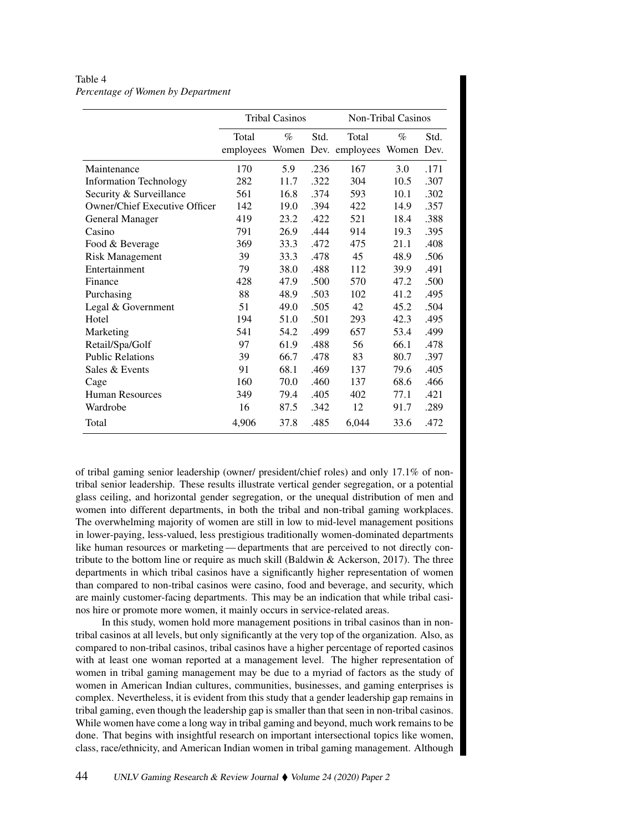# <span id="page-7-0"></span>Table 4 *Percentage of Women by Department*

|                                      |           | <b>Tribal Casinos</b> |      | Non-Tribal Casinos         |      |      |  |
|--------------------------------------|-----------|-----------------------|------|----------------------------|------|------|--|
|                                      | Total     | $\%$                  | Std. | Total                      | $\%$ | Std. |  |
|                                      | employees |                       |      | Women Dev. employees Women |      | Dev. |  |
| Maintenance                          | 170       | 5.9                   | .236 | 167                        | 3.0  | .171 |  |
| <b>Information Technology</b>        | 282       | 11.7                  | .322 | 304                        | 10.5 | .307 |  |
| Security & Surveillance              | 561       | 16.8                  | .374 | 593                        | 10.1 | .302 |  |
| <b>Owner/Chief Executive Officer</b> | 142       | 19.0                  | .394 | 422                        | 14.9 | .357 |  |
| <b>General Manager</b>               | 419       | 23.2                  | .422 | 521                        | 18.4 | .388 |  |
| Casino                               | 791       | 26.9                  | .444 | 914                        | 19.3 | .395 |  |
| Food & Beverage                      | 369       | 33.3                  | .472 | 475                        | 21.1 | .408 |  |
| <b>Risk Management</b>               | 39        | 33.3                  | .478 | 45                         | 48.9 | .506 |  |
| Entertainment                        | 79        | 38.0                  | .488 | 112                        | 39.9 | .491 |  |
| Finance                              | 428       | 47.9                  | .500 | 570                        | 47.2 | .500 |  |
| Purchasing                           | 88        | 48.9                  | .503 | 102                        | 41.2 | .495 |  |
| Legal & Government                   | 51        | 49.0                  | .505 | 42                         | 45.2 | .504 |  |
| Hotel                                | 194       | 51.0                  | .501 | 293                        | 42.3 | .495 |  |
| Marketing                            | 541       | 54.2                  | .499 | 657                        | 53.4 | .499 |  |
| Retail/Spa/Golf                      | 97        | 61.9                  | .488 | 56                         | 66.1 | .478 |  |
| <b>Public Relations</b>              | 39        | 66.7                  | .478 | 83                         | 80.7 | .397 |  |
| Sales & Events                       | 91        | 68.1                  | .469 | 137                        | 79.6 | .405 |  |
| Cage                                 | 160       | 70.0                  | .460 | 137                        | 68.6 | .466 |  |
| <b>Human Resources</b>               | 349       | 79.4                  | .405 | 402                        | 77.1 | .421 |  |
| Wardrobe                             | 16        | 87.5                  | .342 | 12                         | 91.7 | .289 |  |
| Total                                | 4,906     | 37.8                  | .485 | 6,044                      | 33.6 | .472 |  |

of tribal gaming senior leadership (owner/ president/chief roles) and only 17.1% of nontribal senior leadership. These results illustrate vertical gender segregation, or a potential glass ceiling, and horizontal gender segregation, or the unequal distribution of men and women into different departments, in both the tribal and non-tribal gaming workplaces. The overwhelming majority of women are still in low to mid-level management positions in lower-paying, less-valued, less prestigious traditionally women-dominated departments like human resources or marketing— departments that are perceived to not directly contribute to the bottom line or require as much skill (Baldwin  $\&$  Ackerson, 2017). The three departments in which tribal casinos have a significantly higher representation of women than compared to non-tribal casinos were casino, food and beverage, and security, which are mainly customer-facing departments. This may be an indication that while tribal casinos hire or promote more women, it mainly occurs in service-related areas.

In this study, women hold more management positions in tribal casinos than in nontribal casinos at all levels, but only significantly at the very top of the organization. Also, as compared to non-tribal casinos, tribal casinos have a higher percentage of reported casinos with at least one woman reported at a management level. The higher representation of women in tribal gaming management may be due to a myriad of factors as the study of women in American Indian cultures, communities, businesses, and gaming enterprises is complex. Nevertheless, it is evident from this study that a gender leadership gap remains in tribal gaming, even though the leadership gap is smaller than that seen in non-tribal casinos. While women have come a long way in tribal gaming and beyond, much work remains to be done. That begins with insightful research on important intersectional topics like women, class, race/ethnicity, and American Indian women in tribal gaming management. Although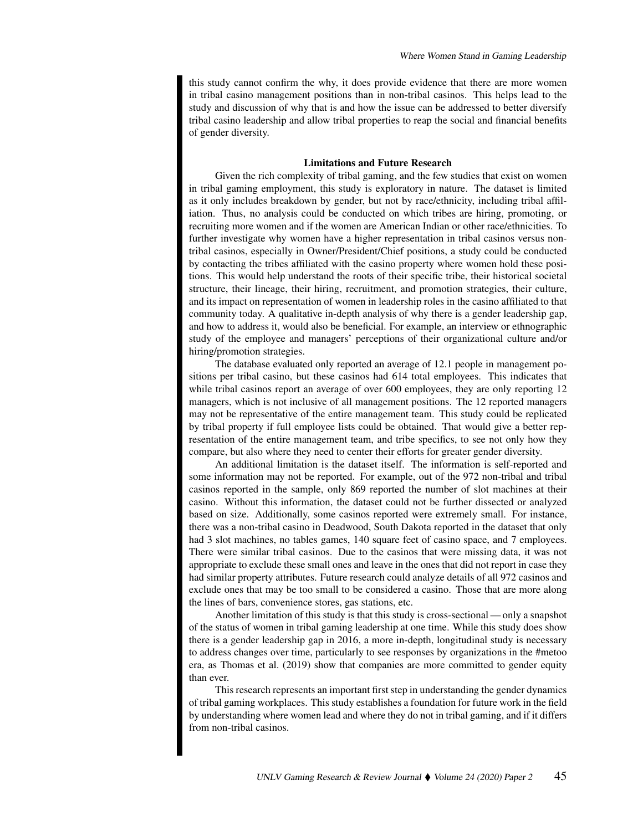this study cannot confirm the why, it does provide evidence that there are more women in tribal casino management positions than in non-tribal casinos. This helps lead to the study and discussion of why that is and how the issue can be addressed to better diversify tribal casino leadership and allow tribal properties to reap the social and financial benefits of gender diversity.

#### Limitations and Future Research

Given the rich complexity of tribal gaming, and the few studies that exist on women in tribal gaming employment, this study is exploratory in nature. The dataset is limited as it only includes breakdown by gender, but not by race/ethnicity, including tribal affiliation. Thus, no analysis could be conducted on which tribes are hiring, promoting, or recruiting more women and if the women are American Indian or other race/ethnicities. To further investigate why women have a higher representation in tribal casinos versus nontribal casinos, especially in Owner/President/Chief positions, a study could be conducted by contacting the tribes affiliated with the casino property where women hold these positions. This would help understand the roots of their specific tribe, their historical societal structure, their lineage, their hiring, recruitment, and promotion strategies, their culture, and its impact on representation of women in leadership roles in the casino affiliated to that community today. A qualitative in-depth analysis of why there is a gender leadership gap, and how to address it, would also be beneficial. For example, an interview or ethnographic study of the employee and managers' perceptions of their organizational culture and/or hiring/promotion strategies.

The database evaluated only reported an average of 12.1 people in management positions per tribal casino, but these casinos had 614 total employees. This indicates that while tribal casinos report an average of over 600 employees, they are only reporting 12 managers, which is not inclusive of all management positions. The 12 reported managers may not be representative of the entire management team. This study could be replicated by tribal property if full employee lists could be obtained. That would give a better representation of the entire management team, and tribe specifics, to see not only how they compare, but also where they need to center their efforts for greater gender diversity.

An additional limitation is the dataset itself. The information is self-reported and some information may not be reported. For example, out of the 972 non-tribal and tribal casinos reported in the sample, only 869 reported the number of slot machines at their casino. Without this information, the dataset could not be further dissected or analyzed based on size. Additionally, some casinos reported were extremely small. For instance, there was a non-tribal casino in Deadwood, South Dakota reported in the dataset that only had 3 slot machines, no tables games, 140 square feet of casino space, and 7 employees. There were similar tribal casinos. Due to the casinos that were missing data, it was not appropriate to exclude these small ones and leave in the ones that did not report in case they had similar property attributes. Future research could analyze details of all 972 casinos and exclude ones that may be too small to be considered a casino. Those that are more along the lines of bars, convenience stores, gas stations, etc.

Another limitation of this study is that this study is cross-sectional — only a snapshot of the status of women in tribal gaming leadership at one time. While this study does show there is a gender leadership gap in 2016, a more in-depth, longitudinal study is necessary to address changes over time, particularly to see responses by organizations in the #metoo era, as Thomas et al. (2019) show that companies are more committed to gender equity than ever.

This research represents an important first step in understanding the gender dynamics of tribal gaming workplaces. This study establishes a foundation for future work in the field by understanding where women lead and where they do not in tribal gaming, and if it differs from non-tribal casinos.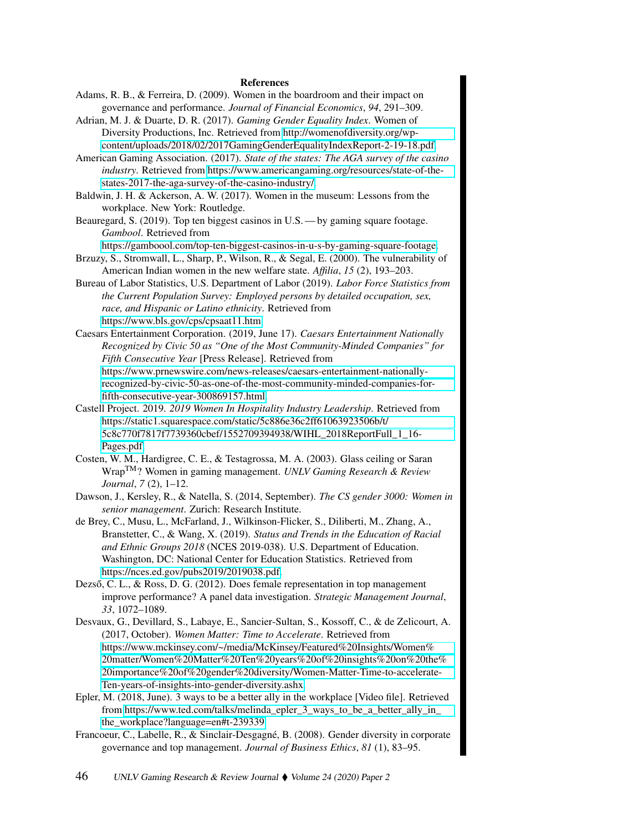#### References

- Adams, R. B., & Ferreira, D. (2009). Women in the boardroom and their impact on governance and performance. *Journal of Financial Economics*, *94*, 291–309.
- Adrian, M. J. & Duarte, D. R. (2017). *Gaming Gender Equality Index*. Women of Diversity Productions, Inc. Retrieved from [http://womenofdiversity.org/wp](http://womenofdiversity.org/wp-content/uploads/2018/02/2017GamingGenderEqualityIndexReport-2-19-18.pdf)[content/uploads/2018/02/2017GamingGenderEqualityIndexReport-2-19-18.pdf.](http://womenofdiversity.org/wp-content/uploads/2018/02/2017GamingGenderEqualityIndexReport-2-19-18.pdf)
- American Gaming Association. (2017). *State of the states: The AGA survey of the casino industry*. Retrieved from [https://www.americangaming.org/resources/state-of-the](https://www.americangaming.org/resources/state-of-the-states-2017-the-aga-survey-of-the-casino-industry/)[states-2017-the-aga-survey-of-the-casino-industry/.](https://www.americangaming.org/resources/state-of-the-states-2017-the-aga-survey-of-the-casino-industry/)
- Baldwin, J. H. & Ackerson, A. W. (2017). Women in the museum: Lessons from the workplace. New York: Routledge.
- Beauregard, S. (2019). Top ten biggest casinos in U.S. by gaming square footage. *Gambool*. Retrieved from
- [https://gamboool.com/top-ten-biggest-casinos-in-u-s-by-gaming-square-footage.](https://gamboool.com/top-ten-biggest-casinos-in-u-s-by-gaming-square-footage) Brzuzy, S., Stromwall, L., Sharp, P., Wilson, R., & Segal, E. (2000). The vulnerability of
- American Indian women in the new welfare state. *Affilia*, *15* (2), 193–203. Bureau of Labor Statistics, U.S. Department of Labor (2019). *Labor Force Statistics from the Current Population Survey: Employed persons by detailed occupation, sex,*

*race, and Hispanic or Latino ethnicity*. Retrieved from [https://www.bls.gov/cps/cpsaat11.htm.](https://www.bls.gov/cps/cpsaat11.htm)

Caesars Entertainment Corporation. (2019, June 17). *Caesars Entertainment Nationally Recognized by Civic 50 as "One of the Most Community-Minded Companies" for Fifth Consecutive Year* [Press Release]. Retrieved from [https://www.prnewswire.com/news-releases/caesars-entertainment-nationally-](https://www.prnewswire.com/news-releases/caesars-entertainment-nationally-recognized-by-civic-50-as-one-of-the-most-community-minded-companies-for-fifth-consecutive-year-300869157.html)

[recognized-by-civic-50-as-one-of-the-most-community-minded-companies-for](https://www.prnewswire.com/news-releases/caesars-entertainment-nationally-recognized-by-civic-50-as-one-of-the-most-community-minded-companies-for-fifth-consecutive-year-300869157.html)[fifth-consecutive-year-300869157.html.](https://www.prnewswire.com/news-releases/caesars-entertainment-nationally-recognized-by-civic-50-as-one-of-the-most-community-minded-companies-for-fifth-consecutive-year-300869157.html)

- Castell Project. 2019. *2019 Women In Hospitality Industry Leadership*. Retrieved from [https://static1.squarespace.com/static/5c886e36c2ff61063923506b/t/](https://static1.squarespace.com/static/5c886e36c2ff61063923506b/t/5c8c770f7817f7739360cbef/1552709394938/WIHL_2018ReportFull_1_16-Pages.pdf) [5c8c770f7817f7739360cbef/1552709394938/WIHL\\_2018ReportFull\\_1\\_16-](https://static1.squarespace.com/static/5c886e36c2ff61063923506b/t/5c8c770f7817f7739360cbef/1552709394938/WIHL_2018ReportFull_1_16-Pages.pdf) [Pages.pdf.](https://static1.squarespace.com/static/5c886e36c2ff61063923506b/t/5c8c770f7817f7739360cbef/1552709394938/WIHL_2018ReportFull_1_16-Pages.pdf)
- Costen, W. M., Hardigree, C. E., & Testagrossa, M. A. (2003). Glass ceiling or Saran WrapTM? Women in gaming management. *UNLV Gaming Research & Review Journal*, *7* (2), 1–12.
- Dawson, J., Kersley, R., & Natella, S. (2014, September). *The CS gender 3000: Women in senior management*. Zurich: Research Institute.
- de Brey, C., Musu, L., McFarland, J., Wilkinson-Flicker, S., Diliberti, M., Zhang, A., Branstetter, C., & Wang, X. (2019). *Status and Trends in the Education of Racial and Ethnic Groups 2018* (NCES 2019-038). U.S. Department of Education. Washington, DC: National Center for Education Statistics. Retrieved from [https://nces.ed.gov/pubs2019/2019038.pdf.](https://nces.ed.gov/pubs2019/2019038.pdf)
- Dezső, C. L., & Ross, D. G. (2012). Does female representation in top management improve performance? A panel data investigation. *Strategic Management Journal*, *33*, 1072–1089.
- Desvaux, G., Devillard, S., Labaye, E., Sancier-Sultan, S., Kossoff, C., & de Zelicourt, A. (2017, October). *Women Matter: Time to Accelerate*. Retrieved from [https://www.mckinsey.com/~/media/McKinsey/Featured%20Insights/Women%](https://www.mckinsey.com/~/media/McKinsey/Featured%20Insights/Women%20matter/Women%20Matter%20Ten%20years%20of%20insights%20on%20the%20importance%20of%20gender%20diversity/Women-Matter-Time-to-accelerate-Ten-years-of-insights-into-gender-diversity.ashx) [20matter/Women%20Matter%20Ten%20years%20of%20insights%20on%20the%](https://www.mckinsey.com/~/media/McKinsey/Featured%20Insights/Women%20matter/Women%20Matter%20Ten%20years%20of%20insights%20on%20the%20importance%20of%20gender%20diversity/Women-Matter-Time-to-accelerate-Ten-years-of-insights-into-gender-diversity.ashx) [20importance%20of%20gender%20diversity/Women-Matter-Time-to-accelerate-](https://www.mckinsey.com/~/media/McKinsey/Featured%20Insights/Women%20matter/Women%20Matter%20Ten%20years%20of%20insights%20on%20the%20importance%20of%20gender%20diversity/Women-Matter-Time-to-accelerate-Ten-years-of-insights-into-gender-diversity.ashx)[Ten-years-of-insights-into-gender-diversity.ashx.](https://www.mckinsey.com/~/media/McKinsey/Featured%20Insights/Women%20matter/Women%20Matter%20Ten%20years%20of%20insights%20on%20the%20importance%20of%20gender%20diversity/Women-Matter-Time-to-accelerate-Ten-years-of-insights-into-gender-diversity.ashx)
- Epler, M. (2018, June). 3 ways to be a better ally in the workplace [Video file]. Retrieved from [https://www.ted.com/talks/melinda\\_epler\\_3\\_ways\\_to\\_be\\_a\\_better\\_ally\\_in\\_](https://www.ted.com/talks/melinda_epler_3_ways_to_be_a_better_ally_in_the_workplace?language=en#t-239339) [the\\_workplace?language=en#t-239339.](https://www.ted.com/talks/melinda_epler_3_ways_to_be_a_better_ally_in_the_workplace?language=en#t-239339)
- Francoeur, C., Labelle, R., & Sinclair-Desgagné, B. (2008). Gender diversity in corporate governance and top management. *Journal of Business Ethics*, *81* (1), 83–95.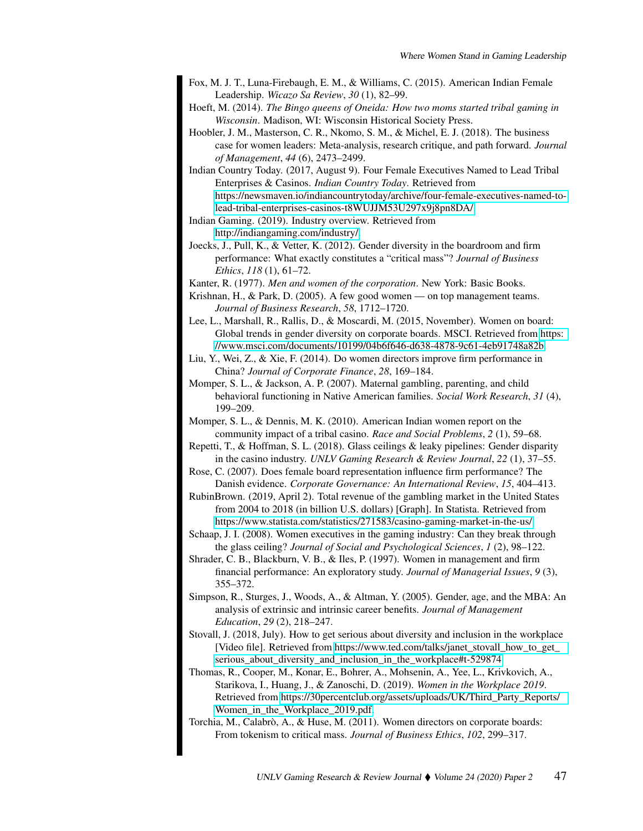- Fox, M. J. T., Luna-Firebaugh, E. M., & Williams, C. (2015). American Indian Female Leadership. *Wicazo Sa Review*, *30* (1), 82–99.
- Hoeft, M. (2014). *The Bingo queens of Oneida: How two moms started tribal gaming in Wisconsin*. Madison, WI: Wisconsin Historical Society Press.
- Hoobler, J. M., Masterson, C. R., Nkomo, S. M., & Michel, E. J. (2018). The business case for women leaders: Meta-analysis, research critique, and path forward. *Journal of Management*, *44* (6), 2473–2499.
- Indian Country Today. (2017, August 9). Four Female Executives Named to Lead Tribal Enterprises & Casinos. *Indian Country Today*. Retrieved from [https://newsmaven.io/indiancountrytoday/archive/four-female-executives-named-to](https://newsmaven.io/indiancountrytoday/archive/four-female-executives-named-to-lead-tribal-enterprises-casinos-t8WUJJM53U297x9j8pn8DA/)[lead-tribal-enterprises-casinos-t8WUJJM53U297x9j8pn8DA/.](https://newsmaven.io/indiancountrytoday/archive/four-female-executives-named-to-lead-tribal-enterprises-casinos-t8WUJJM53U297x9j8pn8DA/)
- Indian Gaming. (2019). Industry overview. Retrieved from
- [http://indiangaming.com/industry/.](http://indiangaming.com/industry/)
- Joecks, J., Pull, K., & Vetter, K. (2012). Gender diversity in the boardroom and firm performance: What exactly constitutes a "critical mass"? *Journal of Business Ethics*, *118* (1), 61–72.
- Kanter, R. (1977). *Men and women of the corporation*. New York: Basic Books.

Krishnan, H., & Park, D. (2005). A few good women — on top management teams. *Journal of Business Research*, *58*, 1712–1720.

- Lee, L., Marshall, R., Rallis, D., & Moscardi, M. (2015, November). Women on board: Global trends in gender diversity on corporate boards. MSCI. Retrieved from [https:](https://www.msci.com/documents/10199/04b6f646-d638-4878-9c61-4eb91748a82b) [//www.msci.com/documents/10199/04b6f646-d638-4878-9c61-4eb91748a82b.](https://www.msci.com/documents/10199/04b6f646-d638-4878-9c61-4eb91748a82b)
- Liu, Y., Wei, Z., & Xie, F. (2014). Do women directors improve firm performance in China? *Journal of Corporate Finance*, *28*, 169–184.
- Momper, S. L., & Jackson, A. P. (2007). Maternal gambling, parenting, and child behavioral functioning in Native American families. *Social Work Research*, *31* (4), 199–209.

Momper, S. L., & Dennis, M. K. (2010). American Indian women report on the community impact of a tribal casino. *Race and Social Problems*, *2* (1), 59–68.

Repetti, T., & Hoffman, S. L. (2018). Glass ceilings & leaky pipelines: Gender disparity in the casino industry. *UNLV Gaming Research & Review Journal*, *22* (1), 37–55.

Rose, C. (2007). Does female board representation influence firm performance? The Danish evidence. *Corporate Governance: An International Review*, *15*, 404–413.

- RubinBrown. (2019, April 2). Total revenue of the gambling market in the United States from 2004 to 2018 (in billion U.S. dollars) [Graph]. In Statista. Retrieved from <https://www.statista.com/statistics/271583/casino-gaming-market-in-the-us/>
- Schaap, J. I. (2008). Women executives in the gaming industry: Can they break through the glass ceiling? *Journal of Social and Psychological Sciences*, *1* (2), 98–122.
- Shrader, C. B., Blackburn, V. B., & Iles, P. (1997). Women in management and firm financial performance: An exploratory study. *Journal of Managerial Issues*, *9* (3), 355–372.
- Simpson, R., Sturges, J., Woods, A., & Altman, Y. (2005). Gender, age, and the MBA: An analysis of extrinsic and intrinsic career benefits. *Journal of Management Education*, *29* (2), 218–247.
- Stovall, J. (2018, July). How to get serious about diversity and inclusion in the workplace [Video file]. Retrieved from [https://www.ted.com/talks/janet\\_stovall\\_how\\_to\\_get\\_](https://www.ted.com/talks/janet_stovall_how_to_get_serious_about_diversity_and_inclusion_in_the_workplace#t-529874) [serious\\_about\\_diversity\\_and\\_inclusion\\_in\\_the\\_workplace#t-529874.](https://www.ted.com/talks/janet_stovall_how_to_get_serious_about_diversity_and_inclusion_in_the_workplace#t-529874)
- Thomas, R., Cooper, M., Konar, E., Bohrer, A., Mohsenin, A., Yee, L., Krivkovich, A., Starikova, I., Huang, J., & Zanoschi, D. (2019). *Women in the Workplace 2019*. Retrieved from [https://30percentclub.org/assets/uploads/UK/Third\\_Party\\_Reports/](https://30percentclub.org/assets/uploads/UK/Third_Party_Reports/Women_in_the_Workplace_2019.pdf) [Women\\_in\\_the\\_Workplace\\_2019.pdf.](https://30percentclub.org/assets/uploads/UK/Third_Party_Reports/Women_in_the_Workplace_2019.pdf)
- Torchia, M., Calabrò, A., & Huse, M. (2011). Women directors on corporate boards: From tokenism to critical mass. *Journal of Business Ethics*, *102*, 299–317.